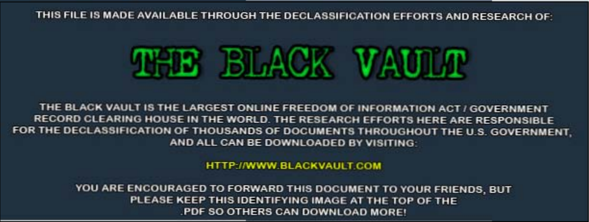#### THIS FILE IS MADE AVAIL ABLE THROUGH THE DECLASSIFICATION EFFORTS AND RESEARCH OF



THE BLACK VAULT IS THE LARGEST ONLINE FREEDOM OF INFORMATION ACT / GOVERNMENT RECORD CLEARING HOUSE IN THE WORLD. THE RESEARCH EFFORTS HERE ARE RESPONSIBLE FOR THE DECLASSIFICATION OF THOUSANDS OF DOCUMENTS THROUGHOUT THE U.S. GOVERNMENT. AND ALL CAN BE DOWNLOADED BY VISITING:

HTTP://WWW.BLACKVAULT.COM

YOU ARE ENCOURAGED TO FORWARD THIS DOCUMENT TO YOUR FRIENDS, BUT PLEASE KEEP THIS IDENTIFYING IMAGE AT THE TOP OF THE PDF SO OTHERS CAN DOWNLOAD MORE!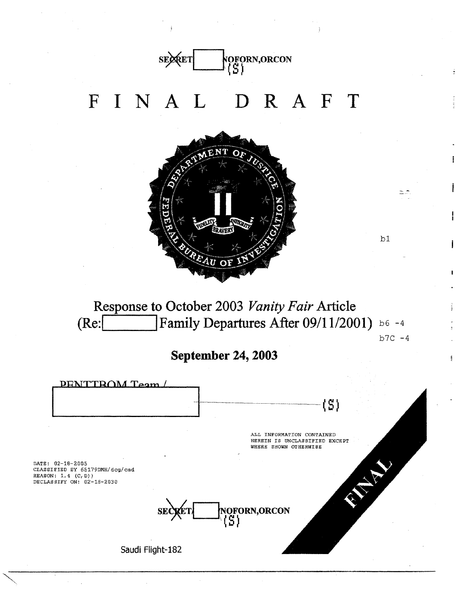

**Response to October 2003** *Vanity Fair* **Article (Re:l I Family Departures After 09/11/2001)** b6 -4  $b7C - 4$ 

**September 24, 2003** 

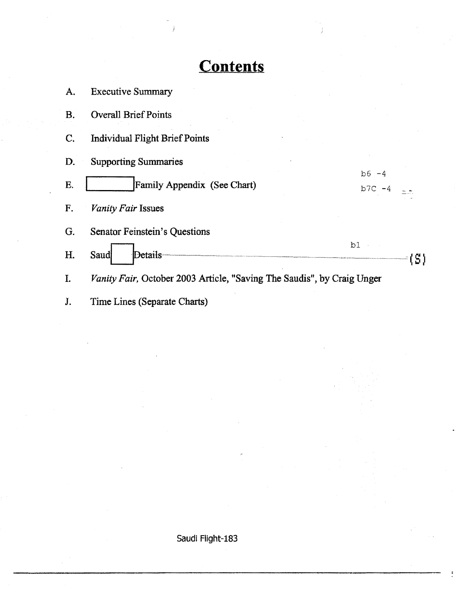### **Contents**

| A.        | <b>Executive Summary</b>                                               |           |  |
|-----------|------------------------------------------------------------------------|-----------|--|
| <b>B.</b> | <b>Overall Brief Points</b>                                            |           |  |
| C.        | <b>Individual Flight Brief Points</b>                                  |           |  |
| D.        | <b>Supporting Summaries</b>                                            |           |  |
|           |                                                                        | $b6 - 4$  |  |
| E.        | Family Appendix (See Chart)                                            | $b7C - 4$ |  |
| F.        | Vanity Fair Issues                                                     |           |  |
| G.        | Senator Feinstein's Questions                                          |           |  |
| Η.        | Saud<br>Details-                                                       | b1        |  |
| I.        | Vanity Fair, October 2003 Article, "Saving The Saudis", by Craig Unger |           |  |
| J.        | Time Lines (Separate Charts)                                           |           |  |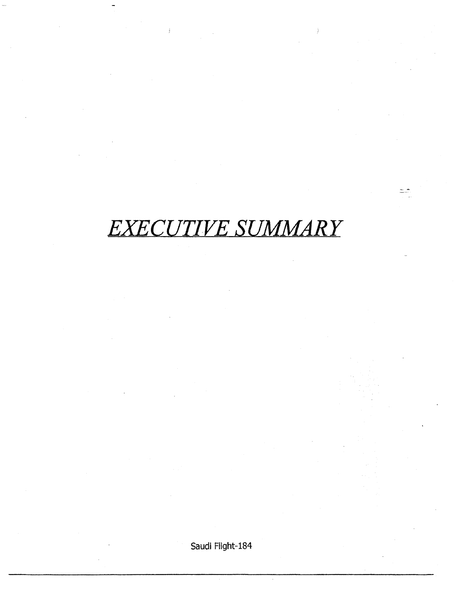## *EXECUTIVE SUMMARY*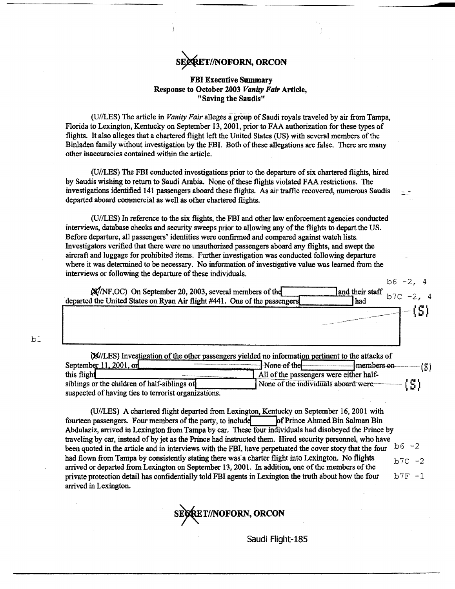#### **SRET//NOFORN, ORCON**

#### FBI Executive Summary Response to October 2003 *Vanity Fair* Article, "Saving the Saudis"

(U/ILES) The article in *Vanity Fair* alleges a- group of Saudi royals traveled by air from Tampa, Florida to Lexington, Kentucky on September 13,2001, prior to FAA authorization for these types of flights. It also alleges that a chartered flight left the United States (US) with several members of the Binladen family without investigation by the FBI. Both of these allegations are false. There are many other inaccuracies contained within the article.

(U/ILES) The FBI conducted investigations prior to the departure of six chartered flights, hired by Saudis wishing to return to Saudi Arabia. None of these flights violated FAA restrictions. The investigations identified 141 passengers aboard these flights. As air traffic recovered, numerous Saudis departed aboard commercial as well as other chartered flights.

(U/ILES) In reference to the six flights, the FBI and other law enforcement agencies conducted interviews, database checks and security sweeps prior to allowing any of the flights to depart the US. Before departure, all passengers' identities were confirmed and compared against watch lists. Investigators verified that there were no unauthorized passengers aboard any flights, and swept the aircraft and luggage for prohibited items. Further investigation was conducted following departure where it was determined to be necessary. No information of investigative value was learned from the interviews or following the departure of these individuals.

bl

 $b6 -2, 4$  $\frac{1}{25}$  departed the United States on Ryan Air flight #441. One of the passengers had their staff b 7 C - 2, 4  $-13)$ 

| (M/LES) Investigation of the other passengers yielded no information pertinent to the attacks of |                                                                   |
|--------------------------------------------------------------------------------------------------|-------------------------------------------------------------------|
| September 11, 2001, or                                                                           | None of the<br>$\sim$ members on $\sim$                           |
| this flight                                                                                      | All of the passengers were either half-                           |
| siblings or the children of half-siblings of                                                     | None of the individuals aboard were $\left\{ \mathbf{C} \right\}$ |
| suspected of having ties to terrorist organizations.                                             |                                                                   |

(U/ILES) A chartered flight departed from Lexington, Kentucky on September 16, 2001 with fourteen passengers. Four members of the party, to include pf Prince Ahmed Bin Salman Bin Abdulaziz, arrived in Lexington from Tampa by car. These four individuals had disobeyed the Prince by traveling by car, instead of by jet as the Prince had instructed them. Hired security personnel, who have been quoted in the article and in interviews with the FBI, have perpetuated the cover story that the four  $b^6 -2$ had flown from Tampa by consistently stating there was a charter flight into Lexington. No flights  $b \frac{7C}{2}$ arrived or departed from Lexington on September 13,2001. In addition, one of the members of the private protection detail has confidentially told FBI agents in Lexington the truth about how the four  $b^7F - 1$ arrived in Lexington.

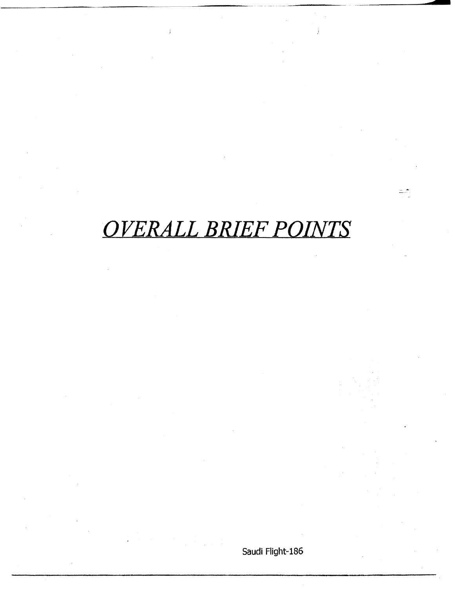## *OVERALL BRIEF POINTS*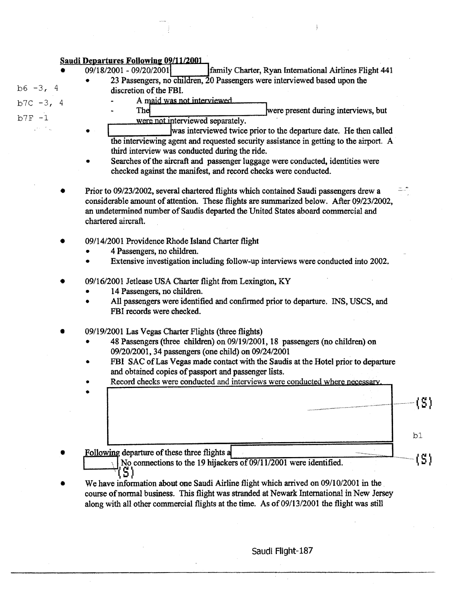#### **Saudi Departures Following 09/11/2001**

•

•

- 09/18/2001 - 09/20/2001 **family Charter, Ryan International Airlines Flight 441** 
	- discretion of the FBI.
- $b7C 3, 4$

 $b6 - 3, 4$ 

 $b7F - 1$ 

- A maid was not interviewed.
- 23 Passengers, no children, 20 Passengers were interviewed based upon the<br>discretion of the FBI.<br>A maid was not interviewed<br>The were present during interviews, but<br>were not interviewed separately. were not interviewed separately.
- was interviewed twice prior to the departure date. He then called the interviewing agent and requested security assistance in getting to the airport. A third interview was conducted during the ride.
- Searches of the aircraft and passenger luggage were conducted, identities were checked against the manifest, and record checks were conducted.
- Prior to 09/23/2002, several chartered flights which contained Saudi passengers drew a considerable amount of attention. These flights are summarized below. After 09/23/2002, an undetermined number of Saudis departed the United States aboard commercial and chartered aircraft.
- 09/14/2001 Providence Rhode Island Charter flight
	- 4 Passengers, no children.
	- Extensive investigation including follow-up interviews were conducted into 2002.
- 09/16/2001 Jetlease USA Charter flight from Lexington, KY
	- 14 Passengers, no children.
	- All passengers were identified and confirmed prior to departure. INS, USCS, and FBI records were checked.
- 09/19/2001 Las Vegas Charter Flights (three flights)
	- 48 Passengers (three children) on 09/19/2001, 18 passengers (no children) on 09/20/2001, 34 passengers (one child) on 09/24/2001
	- FBI SAC of Las Vegas made contact with the Saudis at the Hotel prior to departure and obtained copies of passport and passenger lists.
	- Record checks were conducted and interviews were conducted where necessary.

|                                              | $\label{t:2} \begin{minipage}{0.9\linewidth} \begin{minipage}{0.9\linewidth} \begin{minipage}{0.9\linewidth} \begin{minipage}{0.9\linewidth} \begin{minipage}{0.9\linewidth} \end{minipage} \begin{minipage}{0.9\linewidth} \begin{minipage}{0.9\linewidth} \end{minipage} \begin{minipage}{0.9\linewidth} \begin{minipage}{0.9\linewidth} \end{minipage} \begin{minipage}{0.9\linewidth} \begin{minipage}{0.9\linewidth} \end{minipage} \begin{minipage}{0.9\linewidth} \end{minipage} \begin{minipage}{0.9\linewidth} \end{minipage} \begin$ |                                                               |
|----------------------------------------------|------------------------------------------------------------------------------------------------------------------------------------------------------------------------------------------------------------------------------------------------------------------------------------------------------------------------------------------------------------------------------------------------------------------------------------------------------------------------------------------------------------------------------------------------|---------------------------------------------------------------|
|                                              |                                                                                                                                                                                                                                                                                                                                                                                                                                                                                                                                                |                                                               |
| Following departure of these three flights a | <b>The State of Contract Contract of the Contract Of Contract Of Contract Of Contract Of Contract Of Contract Of</b>                                                                                                                                                                                                                                                                                                                                                                                                                           | <b>This can be a family of the local division in the con-</b> |

- $\setminus$  No connections to the 19 hijackers of 09/11/2001 were identified. 51
- We have information about one Saudi Airline flight which arrived on 09/10/2001 in the course of normal business. This flight was stranded at Newark International in New Jersey along with all other commercial flights at the time. As of 09/13/2001 the flight was still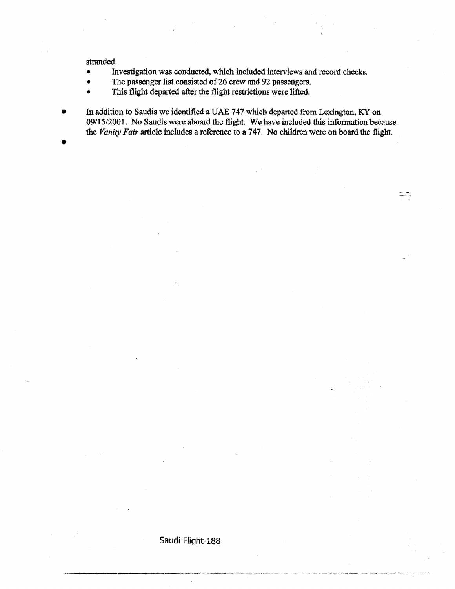stranded.

- Investigation was conducted, which included interviews and record checks.
- The passenger list consisted of 26 crew and 92 passengers.
- This flight departed after the flight restrictions were lifted.

Saudi Flight-188

• In addition to Saudis *we* identified a UAE 747 which departed from Lexington, KY on 09/15/2001. No Saudis were aboard the flight. We have included this information because the *Vanity Fair* article includes a reference to a 747. No children were on board the flight. •

 $=$   $\sim$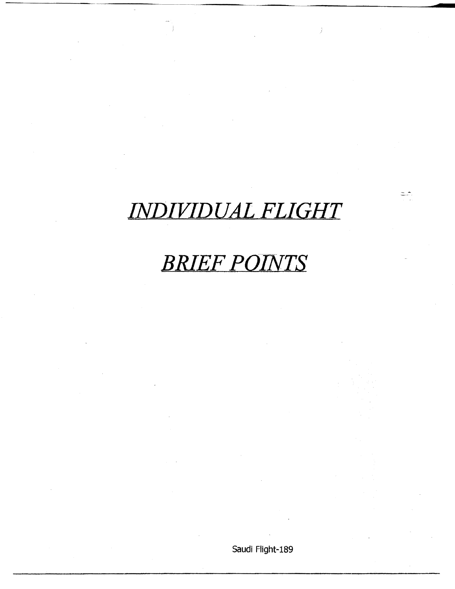## *INDIVIDUAL FLIGHT*

 $\hat{\hat{y}}$ 

### *BRIEF POINTS*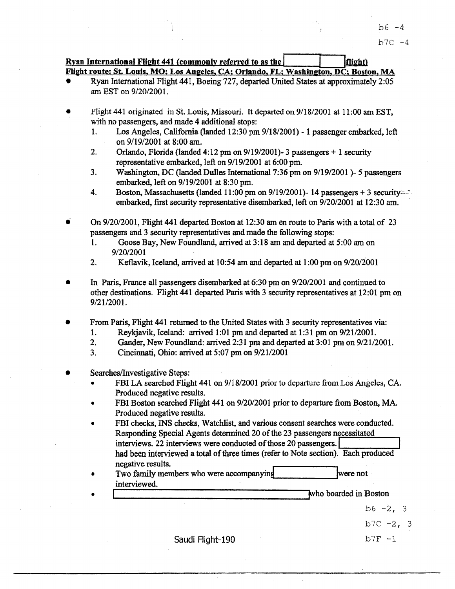#### $Rvan International Flight 441 (commonly referred to as the  $\vert$  [light])$ Flight route: St. Louis, MO; Los Angeles, CA; Orlando, FL; Washington, DC; Boston, MA

- Ryan International Flight 441, Boeing 727, departed United States at approximately 2:05 am EST on 9/20/2001.
- Flight 441 originated in St. Louis, Missouri. It departed on 9/18/2001 at 11 :00 am EST, with no passengers, and made 4 additional stops:
	- 1. Los Angeles, California (landed 12:30 pm 9/18/2001)- 1 passenger embarked, left on 9/19/2001 at 8:00am.
	- 2. Orlando, Florida (landed  $4:12$  pm on  $9/19/2001$ )- 3 passengers  $+1$  security representative embarked, left on 9/19/2001 at 6:00 pm.
	- 3. Washington, DC (landed Dulles International 7:36 pm on 9/19/2001 )- 5 passengers embarked, left on 9/19/2001 at 8:30 pm.
	- 4. Boston, Massachusetts (landed 11:00 pm on 9/19/2001)- 14 passengers + 3 security- $\hat{ }$ . embarked, first security representative disembarked, left on 9/20/2001 at 12:30 am.

• On 9/20/2001, Flight 441 departed Boston at 12:30 am en route to Paris with a total of 23 passengers and 3 security representatives and made the following stops:

- 1. Goose Bay, NewFoundland, arrived at 3:18am and departed at 5:00am on 9/20/2001
- 2. Keflavik, Iceland, arrived at  $10:54$  am and departed at  $1:00$  pm on  $9/20/2001$
- In Paris, France all passengers disembarked at 6:30 pm on 9/20/2001 and continued to other destinations. Flight 441 departed Paris with 3 security representatives at 12:01 pm on 9/21/2001.
- From Paris, Flight 441 returned to the United States with 3 security representatives via:
	- 1. Reykjavik, Iceland: arrived 1:01 pm and departed at  $1:31$  pm on  $9/21/2001$ .
	- 2. Gander, New Foundland: arrived 2:31 pm and departed at 3:01 pm on 9/21/2001.
	- 3. Cincinnati, Ohio: arrived at  $5:07$  pm on  $9/21/2001$
- Searches/Investigative Steps:

•

- FBI LA searched Flight 441 on 9/18/2001 prior to departure from Los Angeles, CA. Produced negative results.
- FBI Boston searched Flight 441 on 9/20/2001 prior to departure from Boston, MA . Produced negative results.
- FBI checks, INS checks, Watchlist, and various consent searches were conducted . Responding Special Agents detennined 20 of the 23 passengers necessitated interviews. 22 interviews were conducted of those 20 passengers. had been interviewed a total of three times (refer to Note section). Each produced negative results.
- Two family members who were accompanying where not interviewed. merviewed.<br>
who boarded in Boston<br>
who boarded in Boston

b6  $-2, 3$ 

 $b7C -273$ 

Saudi Flight-190  $b7F - 1$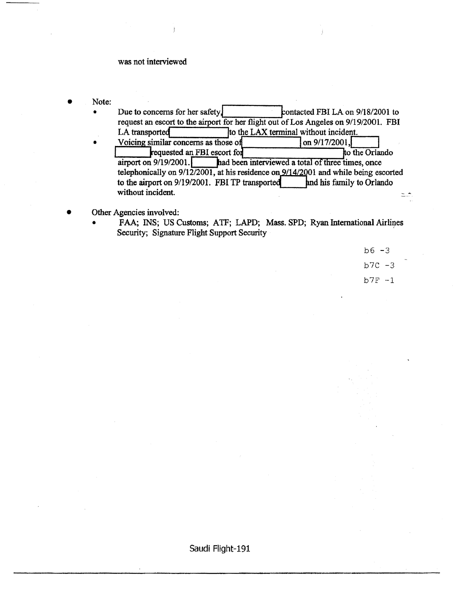#### was not interviewed

- Note:
	- Due to concerns for her safety. contacted FBI LA on 9/18/2001 to • request an escort to the airport for her flight out of Los Angeles on 9/19/2001. FBI LA transported  $\bullet$  Ito the LAX terminal without incident. • Voicing similar concerns as those o on 9/17/2001 ,I I kequested an FBI escort fo o·th~e-Or~lando airport on 9/19/2001. **had been interviewed a total of three times, once** telephonically on  $9/12/2001$ , at his residence on  $9/14/2001$  and while being escorted to the airport on  $9/19/2001$ . FBI TP transported  $\qquad$  and his family to Orlando without incident.  $=$   $\overline{ }$
- Other Agencies involved:
	- FAA; INS; US Customs; ATF; LAPD; Mass. SPD; Ryan International Airlines Security; Signature Flight Support Security

| $b6 - 3$ |  |
|----------|--|
| $b7C -3$ |  |
| $b7F -1$ |  |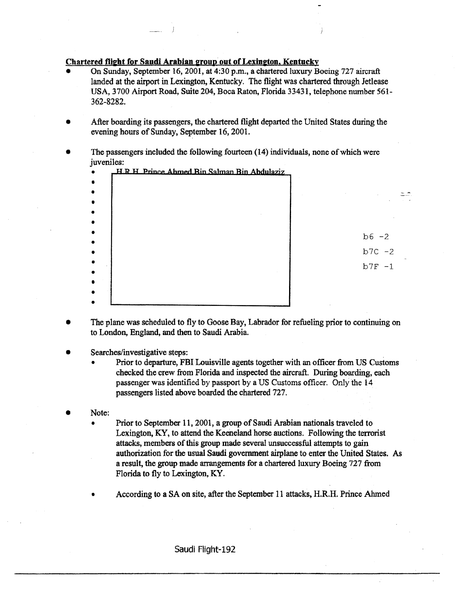#### Chartered flight for Saudi Arabian group out of Lexington. Kentucky

- On Sunday, September 16, 2001, at 4:30 p.m., a chartered luxury Boeing 727 aircraft landed at the airport in Lexington, Kentucky. The flight was chartered through Jetlease USA, 3700 Airport Road, Suite 204, Boca Raton, Florida 33431, telephone number 561- 362-8282.
- After boarding its passengers, the chartered flight departed the United States during the evening hours of Sunday, September 16,2001.
- The passengers included the following fourteen (14) individuals, none of which were juveniles:

| HRH Prince Ahmed Bin Salman Bin Abdulaziz |                     |
|-------------------------------------------|---------------------|
|                                           |                     |
|                                           | $b6 -2$<br>$b7C -2$ |
|                                           | $b7F -1$            |
|                                           |                     |

- The plane was scheduled to fly to Goose Bay, Labrador for refueling prior to continuing on to London, England, and then to Saudi Arabia.
- Searches/investigative steps:
	- Prior to departure, FBI Louisville agents together with an officer from US Customs checked the crew from Florida and inspected the aircraft. During boarding, each passenger was identified by passport by a US Customs officer. Only the 14 passengers listed above boarded the chartered 727.
- Note:
	- Prior to September 11, 2001, a group of Saudi Arabian nationals traveled to Lexington, KY, to attend the Keeneland horse auctions. Following the terrorist attacks, members of this group made several unsuccessful attempts to gain authorization for the usual Saudi government airplane to enter the United States. As a result, the group made arrangements for a chartered luxury Boeing 727 from Florida to fly to Lexington, KY.
	- According to a SA on site, after the September 11 attacks, H.R.H. Prince Ahmed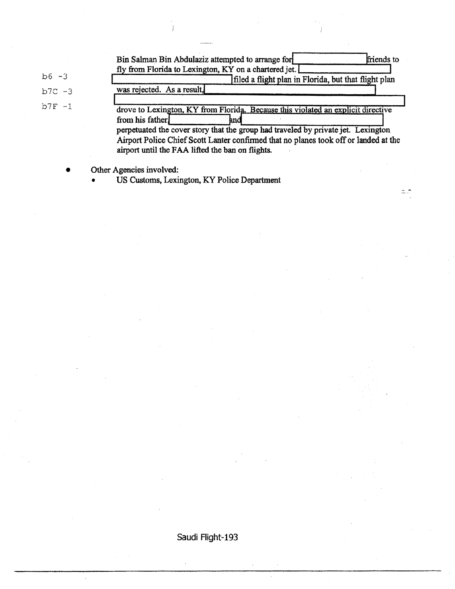|           | friends to<br>Bin Salman Bin Abdulaziz attempted to arrange for                                                                                                                                                               |
|-----------|-------------------------------------------------------------------------------------------------------------------------------------------------------------------------------------------------------------------------------|
|           | fly from Florida to Lexington, KY on a chartered jet.                                                                                                                                                                         |
| $b6 - 3$  | filed a flight plan in Florida, but that flight plan                                                                                                                                                                          |
| $b7C - 3$ | was rejected. As a result.                                                                                                                                                                                                    |
| $b7F - 1$ | drove to Lexington, KY from Florida. Because this violated an explicit directive<br>from his father.<br>hnd                                                                                                                   |
|           | perpetuated the cover story that the group had traveled by private jet. Lexington<br>Airport Police Chief Scott Lanter confirmed that no planes took off or landed at the<br>airport until the FAA lifted the ban on flights. |

 $=$  $\frac{1}{2}$ 

• Other Agencies involved:

• US Customs, Lexington, KY Police Department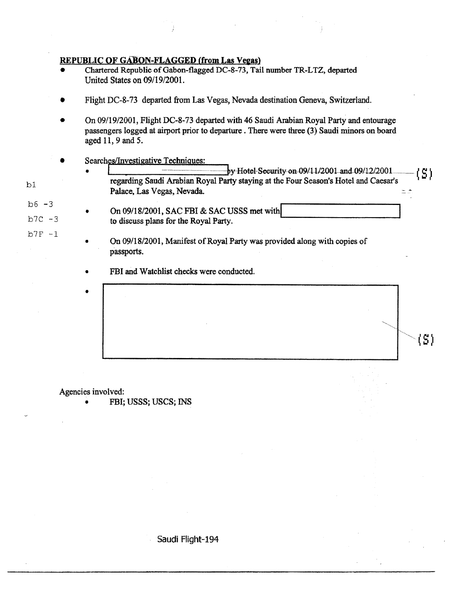#### REPUBLIC OF GABON-FLAGGED (from Las Vegas)

- Chartered Republic of Gabon-flagged DC-8-73, Tail number TR-LTZ, departed United States on 09/19/2001.
- Flight DC-8-73 departed from Las Vegas, Nevada destination Geneva, Switzerland.
- On 09/19/2001, Flight DC-8-73 departed with 46 Saudi Arabian Royal Party and entourage passengers logged at airport prior to departure . There were three (3) Saudi minors on board aged 11, 9 and *5.*
- 
- ~earc~estigative !f:CilrJiO.~~~: ----!,yHetei-Seeurity<>n09/UJ:!OOl-and.09tl21200 1 ... \_\_ ( S ) regarding Saudi Arabian Royal Party staying at the Four Season's Hotel and Caesar's Palace. Las Vegas, Nevada.  $\pm$   $\frac{1}{2}$
- $b6 3$  $b7C - 3$ • On 09/18/2001, SAC FBI & SAC USSS met with to discuss plans for the Royal Party.
	- On 09/18/2001, Manifest of Royal Party was provided along with copies of passports.

FBI and Watchlist checks were conducted.

Agencies involved:

•

bl

 $b7F - 1$ 

• FBI; USSS; USCS; INS

Saudi Flight-194

(S)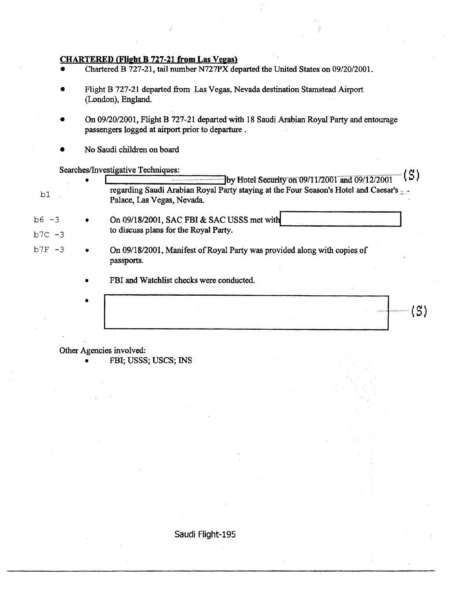#### CHARTERED (Flight B 727-21 from Las Vegas)

- Chartered B 727-21, tail number N727PX departed the United States on 09/20/2001.
- Flight B 727-21 departed from Las Vegas, Nevada destination Stamstead Airport (London), England.
- On 09/20/2001, Flight B 727-21 departed with 18 Saudi Arabian Royal Party and entourage passengers logged at airport prior to departure .

 $\begin{split} \mathbf{b}_{\text{intra}} = \mathbf{b}_{\text{out}} + \mathbf{b}_{\text{out}} + \mathbf{b}_{\text{out}} + \mathbf{b}_{\text{out}} + \mathbf{b}_{\text{out}} + \mathbf{b}_{\text{out}} + \mathbf{b}_{\text{out}} + \mathbf{b}_{\text{out}} + \mathbf{b}_{\text{out}} + \mathbf{b}_{\text{out}} + \mathbf{b}_{\text{out}} + \mathbf{b}_{\text{out}} + \mathbf{b}_{\text{out}} + \mathbf{b}_{\text{out}} + \mathbf{b}_{\text{out}} + \mathbf{b}_{\text{out}} + \mathbf{b}_{\text{out$ 

• No Saudi children on board

Searches/Investigative Techniques: \_ ............................ ( *r!* )

|           |           | (by Hotel Security on $09/11/2001$ and $09/12/2001$<br>ח אונ                                                        |
|-----------|-----------|---------------------------------------------------------------------------------------------------------------------|
| b1        |           | regarding Saudi Arabian Royal Party staying at the Four Season's Hotel and Caesar's -<br>Palace, Las Vegas, Nevada. |
| $b6 - 3$  | $\bullet$ | On 09/18/2001, SAC FBI & SAC USSS met with                                                                          |
| $b7C - 3$ |           | to discuss plans for the Royal Party.                                                                               |
| $b7F - 3$ |           | On 09/18/2001, Manifest of Royal Party was provided along with copies of<br>passports.                              |
|           | ۰         | FBI and Watchlist checks were conducted.                                                                            |
|           |           |                                                                                                                     |
|           |           |                                                                                                                     |
|           |           |                                                                                                                     |

Other Agencies involved:

• FBI; USSS; USCS; INS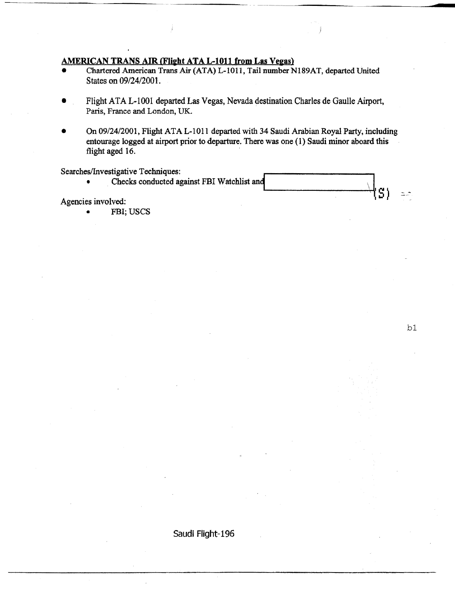#### AMERICAN TRANS AIR (Flight ATA L-1011 from Las Vegas)

- Chartered American Trans Air (ATA) L-1011, Tail number N189AT, departed United States on 09/24/2001.
- Flight ATA L-100 1 departed Las Vegas, Nevada destination Charles de Gaulle Airport, Paris, France and London, UK.
- On 09/24/2001, Flight ATA L-1011 departed with 34 Saudi Arabian Royal Party, including entourage logged at airport prior to departure. There was one ( 1) Saudi minor aboard this flight aged 16.

Searches/Investigative Techniques:

• Checks conducted against FBI Watchlist and<br>Agencies involved:

FBI; USCS

bl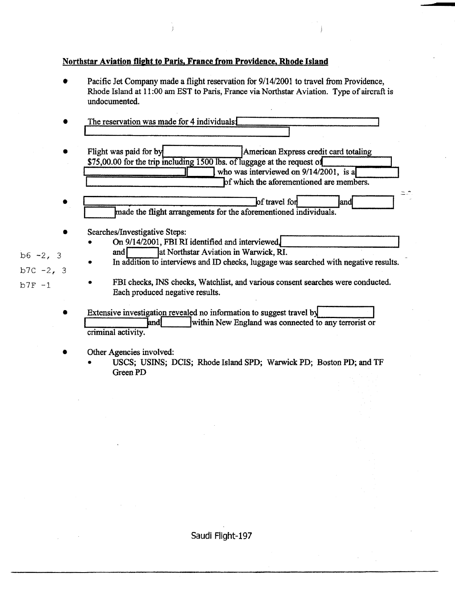#### Northstar Aviation flight to Paris, France from Providence, Rhode Island

- Pacific Jet Company made a flight reservation for  $9/14/2001$  to travel from Providence, Rhode Island at 11:00 am EST to Paris, France via Northstar Aviation. Type of aircraft is undocumented.
- The reservation was made for 4 individuals $\bm{I}$
- Flight was paid for by **American Express credit card totaling**  $\frac{$75,00.00 \text{ for the trip including } 1500 \text{ lbs. of luggage at the request of}}{500 \text{ lbs. of luggage at the received on } 9/14/2001, \text{ is a}}$ who was interviewed on  $9/14/2001$ , is a<br>of which the aforementioned are members.
- F==::::;--:--:--:::--:-----:---:---:--'pf travel foq lao~ ...\_ \_ \_\_,Ptade the flight arrangements for the aforementioned individuals. ~...-. \_\_ \_\_\_.
- Searches/Investigative Steps:
	- On 9/14/2001, FBI RI identified and interviewed.<br>
	and I at Northstar Aviation in Warwick, RI.
	- In addition to interviews and ID checks, luggage was searched with negative results.
- $b7F -1$

 $b6 - 2, 3$ 

 $b7C - 2, 3$ 

• FBI checks, INS checks, Watchlist, and various consent searches were conducted. Each produced negative results.

--

- Extensive investigation revealed no information to suggest travel by<br>and  $\frac{1}{2}$  within New England was connected to within New England was connected to any terrorist or criminal activity.
- Other Agencies involved:
	- USCS; USINS; DCIS; Rhode Island SPD; Warwick PD; Boston PD; and TF Green PD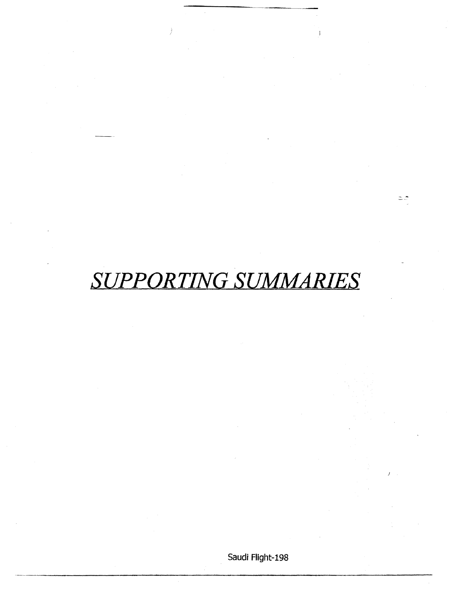## *SUPPORTING SUMMARIES*

 $=$   $\hat{ }$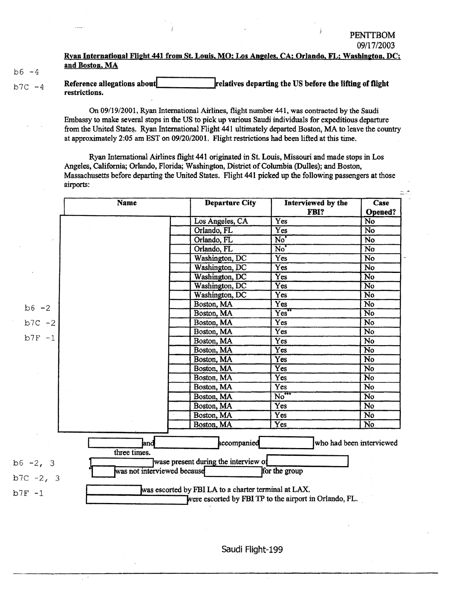-

#### Ryan International Flight 441 from St. Louis, MO; Los Angeles, CA; Orlando, FL; Washington, DC; and Boston, MA

 $b6 - 4$ 

 $b7C - 4$ Reference allegations about **the contract of the US** before the lifting of flight restrictions.

> On 09/19/2001, Ryan International Airlines, flight number 441, was contracted by the Saudi Embassy to make several stops in the US to pick up various Saudi individuals for expeditious departure from the United States. Ryan International Flight 441 ultimately departed Boston, MA to leave the country at approximately 2:05 am EST on 09/20/2001. Flight restrictions had been lifted at this time.

Ryan International Airlines flight 441 originated in St. Louis, Missouri and made stops in Los Angeles, California; Orlando, Florida; Washington, District of Columbia (Dulles); and Boston, Massachusetts before departing the United States. Flight 441 picked up the following passengers at those airports:

|              | <b>Name</b>                 | <b>Departure City</b>                                | Interviewed by the                                     | Case                     |
|--------------|-----------------------------|------------------------------------------------------|--------------------------------------------------------|--------------------------|
|              |                             |                                                      | FBI?                                                   | Opened?                  |
|              |                             | Los Angeles, CA                                      | $\overline{Yes}$                                       | No                       |
|              |                             | Orlando, FL                                          | Yes                                                    | No                       |
|              |                             | Orlando, FL                                          | No <sup>*</sup>                                        | No                       |
|              |                             | Orlando, FL                                          | No <sup>"</sup>                                        | No                       |
|              |                             | Washington, DC                                       | Yes                                                    | No                       |
|              |                             | Washington, DC                                       | Yes                                                    | No                       |
|              |                             | Washington, DC                                       | Yes                                                    | <b>No</b>                |
|              |                             | Washington, DC                                       | Yes                                                    | No                       |
|              |                             | Washington, DC                                       | Yes                                                    | No                       |
| $b6 - 2$     |                             | Boston, MA                                           | Yes                                                    | No                       |
|              |                             | Boston, MA                                           | Yes"                                                   | $\overline{\text{No}}$   |
| $b7C - 2$    |                             | Boston, MA                                           | Yes                                                    | No                       |
|              |                             | Boston, MA                                           | $\overline{Yes}$                                       | $\overline{No}$          |
| $b7F - 1$    |                             | Boston, MA                                           | Yes                                                    | No                       |
|              |                             | Boston, MA                                           | Yes                                                    | No                       |
|              |                             | Boston, MA                                           | Yes                                                    | No                       |
|              |                             | Boston, MA                                           | Yes                                                    | $\overline{No}$          |
|              |                             | Boston, MA                                           | Yes                                                    | No                       |
|              |                             | Boston, MA                                           | Yes                                                    | No                       |
|              |                             | Boston, MA                                           | $\overline{\text{No}}^{\text{max}}$                    | No                       |
|              |                             | Boston, MA                                           | Yes                                                    | No                       |
|              |                             | Boston, MA                                           | Yes                                                    | N <sub>0</sub>           |
|              |                             | Boston, MA                                           | Yes                                                    | No                       |
|              | land<br>three times.        | accompanied                                          |                                                        | who had been interviewed |
| $b6 - 2, 3$  | was not interviewed because | wase present during the interview of                 | for the group                                          |                          |
| $b7C - 2, 3$ |                             |                                                      |                                                        |                          |
| $b7F - 1$    |                             | was escorted by FBI LA to a charter terminal at LAX. | were escorted by FBI TP to the airport in Orlando, FL. |                          |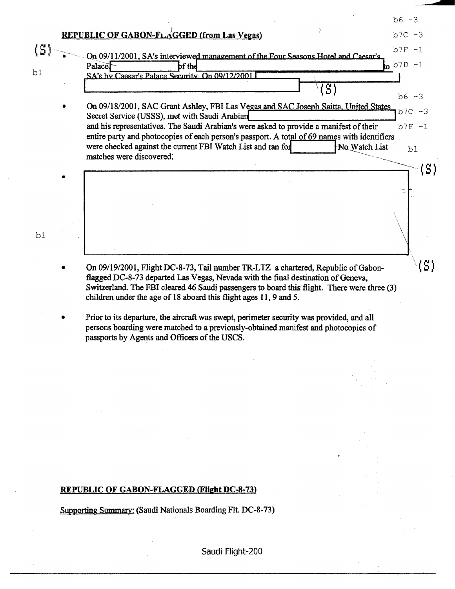|                          |                                                                                                                                                                       | $b6 - 3$                         |
|--------------------------|-----------------------------------------------------------------------------------------------------------------------------------------------------------------------|----------------------------------|
|                          | <b>REPUBLIC OF GABON-FLAGGED (from Las Vegas)</b>                                                                                                                     | $b7C - 3$                        |
| $\left( \text{S}\right)$ | On 09/11/2001, SA's interviewed management of the Four Seasons Hotel and Caesar's                                                                                     | $b7F - 1$                        |
|                          | Palace <sup>1</sup><br>bf thd                                                                                                                                         | $\frac{1}{2}$ b <sub>7D</sub> -1 |
| b1                       | SA's by Caesar's Palace Security. On 09/12/2001                                                                                                                       |                                  |
|                          | $\overline{\mathcal{S}}$                                                                                                                                              | $b6 - 3$                         |
|                          | On 09/18/2001, SAC Grant Ashley, FBI Las Vegas and SAC Joseph Saitta. United States<br>Secret Service (USSS), met with Saudi Arabian                                  | $b7C - 3$                        |
|                          | and his representatives. The Saudi Arabian's were asked to provide a manifest of their                                                                                | $b7F -1$                         |
|                          | entire party and photocopies of each person's passport. A total of 69 names with identifiers                                                                          |                                  |
|                          | were checked against the current FBI Watch List and ran for<br>No Watch List<br>matches were discovered.                                                              | b1                               |
|                          |                                                                                                                                                                       | S)                               |
|                          |                                                                                                                                                                       |                                  |
|                          |                                                                                                                                                                       |                                  |
|                          |                                                                                                                                                                       |                                  |
|                          |                                                                                                                                                                       |                                  |
| b1                       |                                                                                                                                                                       |                                  |
|                          |                                                                                                                                                                       |                                  |
|                          |                                                                                                                                                                       |                                  |
|                          | On 09/19/2001, Flight DC-8-73, Tail number TR-LTZ a chartered, Republic of Gabon-<br>flagged DC-8-73 departed Las Vegas, Nevada with the final destination of Geneva, | ¦S)                              |
|                          | Switzerland. The FBI cleared 46 Saudi passengers to board this flight. There were three (3)                                                                           |                                  |
|                          | children under the age of 18 aboard this flight ages 11, 9 and 5.                                                                                                     |                                  |
|                          | Deige to its domasting the given $\theta$ was avenut an<br>11ھ 1سم 1سلامت                                                                                             |                                  |

• Prior to its departure, the aircraft was swept, perimeter security was provided, and all persons boarding were matched to a previously-obtained manifest and photocopies of passports by Agents and Officers of the USCS.

#### REPUBLIC OF GABON-FLAGGED (Flight DC-8-73)

Supporting Summary: (Saudi Nationals Boarding Fit. DC-8-73)

Saudi Flight-200

;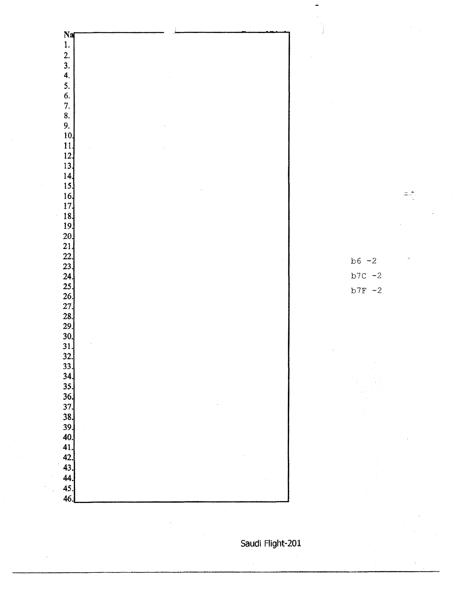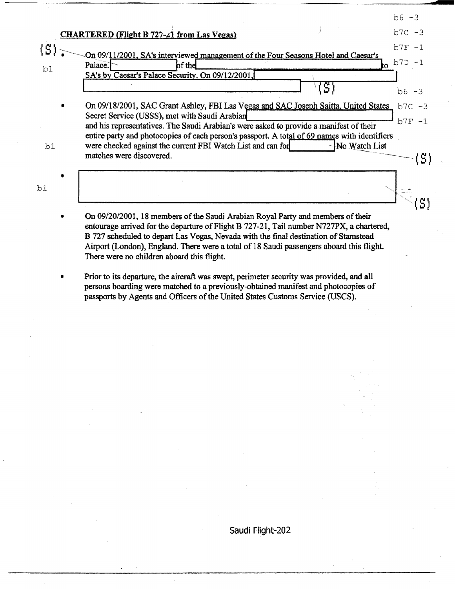|    |                                                                                                                                                                                                                                                                                                                                                                                                                                                                                         | $b6 - 3$  |
|----|-----------------------------------------------------------------------------------------------------------------------------------------------------------------------------------------------------------------------------------------------------------------------------------------------------------------------------------------------------------------------------------------------------------------------------------------------------------------------------------------|-----------|
|    | <b>CHARTERED (Flight B 727-21 from Las Vegas)</b>                                                                                                                                                                                                                                                                                                                                                                                                                                       | $b7C - 3$ |
|    |                                                                                                                                                                                                                                                                                                                                                                                                                                                                                         | $b7F - 1$ |
|    | On 09/11/2001, SA's interviewed management of the Four Seasons Hotel and Caesar's<br>Palace.<br>of the<br>t۵                                                                                                                                                                                                                                                                                                                                                                            | $b7D - 3$ |
| b1 | SA's by Caesar's Palace Security. On 09/12/2001,                                                                                                                                                                                                                                                                                                                                                                                                                                        |           |
|    |                                                                                                                                                                                                                                                                                                                                                                                                                                                                                         | $b6 - 3$  |
|    | On 09/18/2001, SAC Grant Ashley, FBI Las Vegas and SAC Joseph Saitta, United States                                                                                                                                                                                                                                                                                                                                                                                                     | $b7C - 3$ |
|    | Secret Service (USSS), met with Saudi Arabian                                                                                                                                                                                                                                                                                                                                                                                                                                           | $b7F -1$  |
|    | and his representatives. The Saudi Arabian's were asked to provide a manifest of their<br>entire party and photocopies of each person's passport. A total of 69 names with identifiers                                                                                                                                                                                                                                                                                                  |           |
| b1 | were checked against the current FBI Watch List and ran for<br>-No Watch List                                                                                                                                                                                                                                                                                                                                                                                                           |           |
|    | matches were discovered.                                                                                                                                                                                                                                                                                                                                                                                                                                                                | (S)       |
|    |                                                                                                                                                                                                                                                                                                                                                                                                                                                                                         |           |
| b1 |                                                                                                                                                                                                                                                                                                                                                                                                                                                                                         |           |
|    |                                                                                                                                                                                                                                                                                                                                                                                                                                                                                         |           |
|    | On 09/20/2001, 18 members of the Saudi Arabian Royal Party and members of their<br>$\mathbf{r}_1, \mathbf{r}_2, \mathbf{r}_3, \mathbf{r}_4, \mathbf{r}_5, \mathbf{r}_6, \mathbf{r}_7, \mathbf{r}_8, \mathbf{r}_7, \mathbf{r}_8, \mathbf{r}_9, \mathbf{r}_9, \mathbf{r}_1, \mathbf{r}_1, \mathbf{r}_2, \mathbf{r}_3, \mathbf{r}_4, \mathbf{r}_5, \mathbf{r}_6, \mathbf{r}_7, \mathbf{r}_8, \mathbf{r}_8, \mathbf{r}_9, \mathbf{r}_9, \mathbf{r}_9, \mathbf{r}_9, \mathbf{r}_9, \mathbf{$ |           |

- entourage arrived for the departure of Flight B 727-21, Tail number N727PX, a chartered, B 727 scheduled to depart Las Vegas, Nevada with the final destination of Stamstead Airport (London), England. There were a total of 18 Saudi passengers aboard this flight. There were no children aboard this flight.
- Prior to its departure, the aircraft was swept, perimeter security was provided, and all persons boarding were matched to a previously-obtained manifest and photocopies of passports by Agents and Officers of the United States Customs Service (USCS).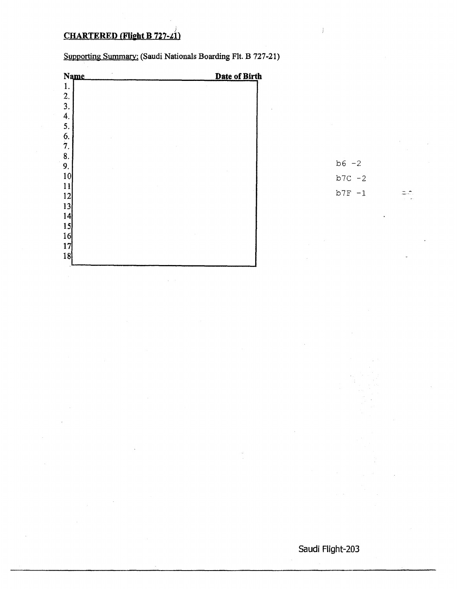#### **CHARTERED (Flight B 727-21)**

| <b>Name</b>       | Date of Birth |
|-------------------|---------------|
| $1.$              |               |
|                   |               |
|                   |               |
|                   |               |
|                   |               |
| 2, 3, 4, 5, 6, 7, |               |
|                   |               |
| 8.                |               |
| 9.                |               |
| 10                |               |
| 11                |               |
| 12                |               |
| 13                |               |
| 14                |               |
| 15                |               |
| 16                |               |
| 17                |               |
| 18                |               |
|                   |               |

Supporting Summary: (Saudi Nationals Boarding Flt. B 727-21)

 $b6 -2$  $b7C - 2$  $b7F -1$ 

 $=$   $\frac{1}{2}$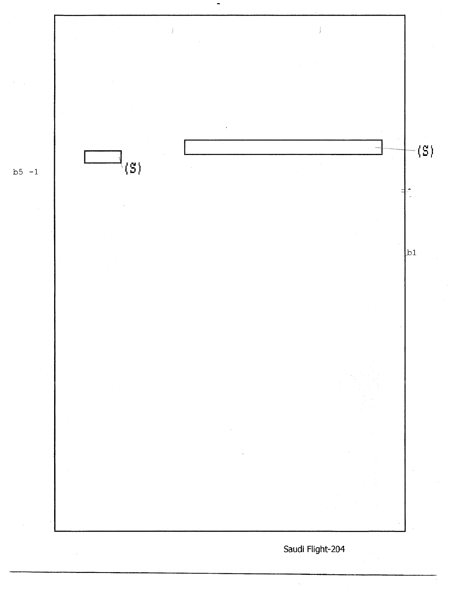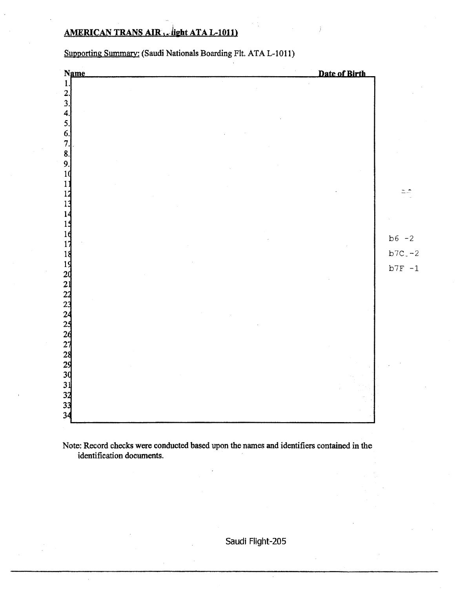#### AMERICAN TRANS AIR , ... light ATA L-1011)

Date of Birth Name 1. 2. 3. 4. *5.*  6. 7.' 8. 9. 1 1  $=$   $\hat{z}$ 1 1  $\mathbf{1}$ 1:  $16$  $b6 -2$  $17$ 18<br>
19<br>
22<br>
22<br>
23<br>
24<br>
25<br>
26<br>
27<br>
38<br>
33<br>
34  $b7C - 2$  $b7F - 1$ 

Supporting Summary: (Saudi Nationals Boarding Flt. ATA L-1011)

Note: Record checks were conducted based upon the names and identifiers contained in the identification documents.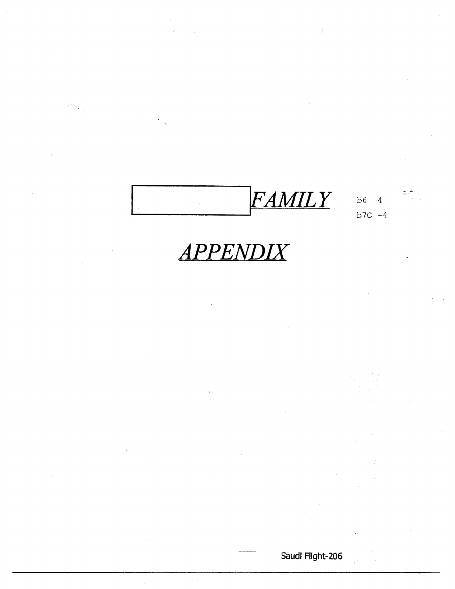FAMILY  $b6 - 4$ 

 $b7C - 4$ 

÷,

 $\frac{1}{2}$ 

### **APPENDIX**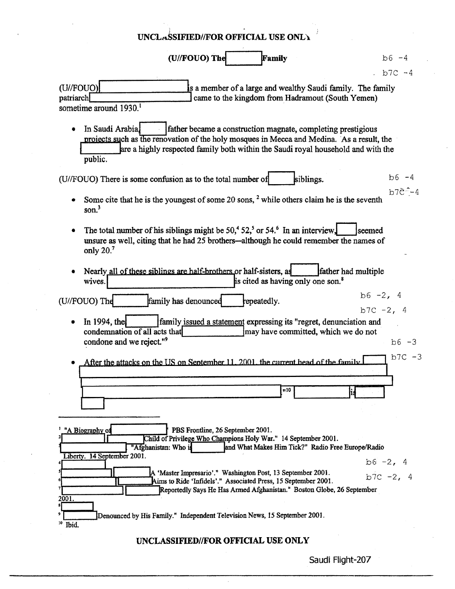| UNCLASSIFIED//FOR OFFICIAL USE ONLY                                                                                                                                                                                                                                          |                             |
|------------------------------------------------------------------------------------------------------------------------------------------------------------------------------------------------------------------------------------------------------------------------------|-----------------------------|
| (U//FOUO) The<br>Family                                                                                                                                                                                                                                                      | $b6 - 4$                    |
|                                                                                                                                                                                                                                                                              | $b7C - 4$                   |
| (U//FOUO)<br>is a member of a large and wealthy Saudi family. The family<br>patriarch<br>came to the kingdom from Hadramout (South Yemen)<br>sometime around 1930. <sup>1</sup>                                                                                              |                             |
| In Saudi Arabia,<br>father became a construction magnate, completing prestigious<br>projects such as the renovation of the holy mosques in Mecca and Medina. As a result, the<br>are a highly respected family both within the Saudi royal household and with the<br>public. |                             |
| siblings.<br>(U//FOUO) There is some confusion as to the total number of                                                                                                                                                                                                     | $b6 - 4$                    |
| Some cite that he is the youngest of some 20 sons, <sup>2</sup> while others claim he is the seventh<br>son. <sup>3</sup>                                                                                                                                                    | $b7e^{-}$ -4                |
| The total number of his siblings might be 50, <sup>4</sup> 52, <sup>5</sup> or 54. <sup>6</sup> In an interview,<br>unsure as well, citing that he had 25 brothers—although he could remember the names of<br>only $20.7$                                                    | Iseemed                     |
| Nearly all of these siblings are half-brothers or half-sisters, as<br>father had multiple<br>is cited as having only one son. <sup>8</sup><br>wives.                                                                                                                         |                             |
| (U//FOUO) The<br>family has denounced<br>repeatedly.                                                                                                                                                                                                                         | $b6 - 2, 4$<br>$b7C - 2, 4$ |
| In 1994, the<br>family issued a statement expressing its "regret, denunciation and<br>condemnation of all acts that<br>may have committed, which we do not<br>condone and we reject." <sup>9</sup>                                                                           | $b6 - 3$                    |
| After the attacks on the US on Sentember 11, 2001, the current head of the family                                                                                                                                                                                            | $b7C - 3$                   |
| 11 I O                                                                                                                                                                                                                                                                       |                             |
| PBS Frontline, 26 September 2001.<br>"A Biography of<br>Child of Privilege Who Champions Holy War." 14 September 2001.<br>"Afghanistan: Who is<br>and What Makes Him Tick?" Radio Free Europe/Radio                                                                          |                             |
| Liberty. 14 September 2001.                                                                                                                                                                                                                                                  | $b6 - 2, 4$                 |
| A 'Master Impresario'." Washington Post, 13 September 2001.<br>Aims to Ride 'Infidels'." Associated Press, 15 September 2001.<br>Reportedly Says He Has Armed Afghanistan." Boston Globe, 26 September                                                                       | $b7C - 2, 4$                |
| 2001.<br>Denounced by His Family." Independent Television News, 15 September 2001.                                                                                                                                                                                           |                             |
| $10$ Ibid.<br>IINCI ASSIFIED//FOR OFFICIAL HSE ONLY                                                                                                                                                                                                                          |                             |

UNCLASSIFIED//FOR OFFICIAL USE ONLY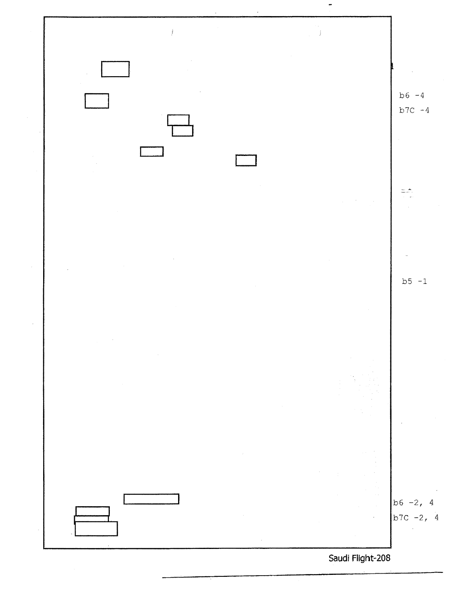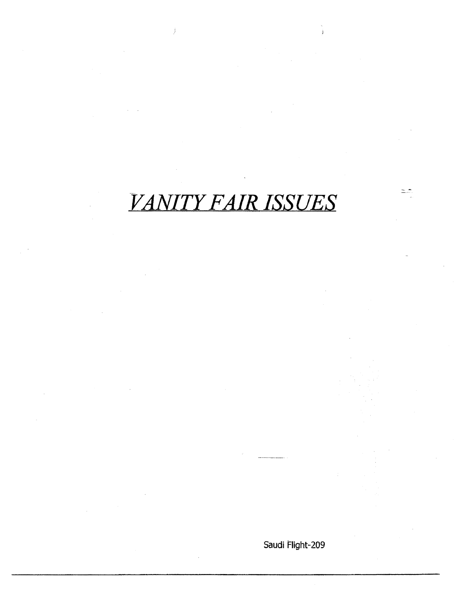## VANITY FAIR ISSUES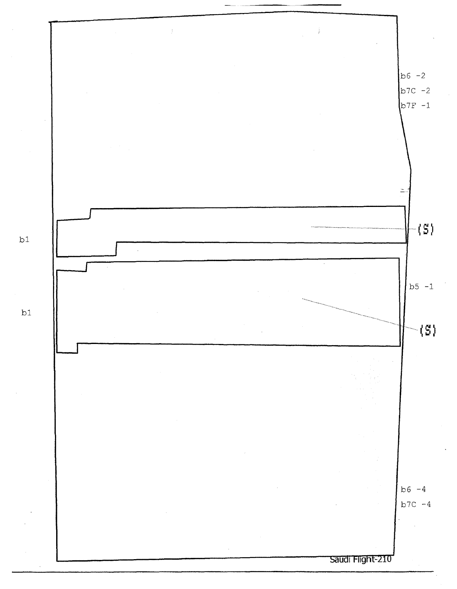

 $b1$ 

 $b1$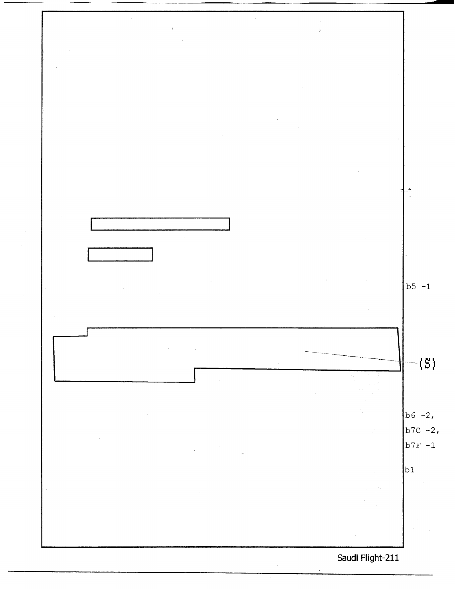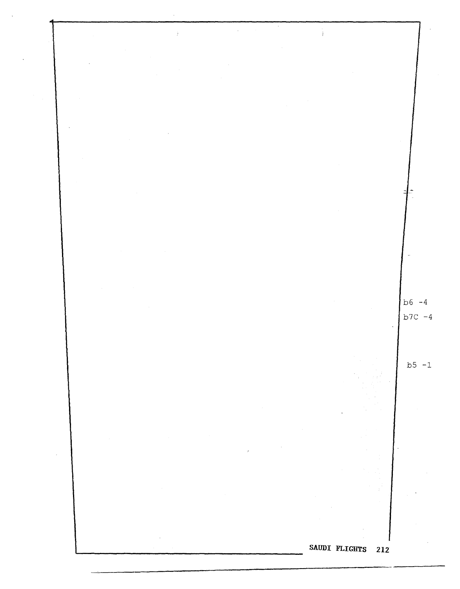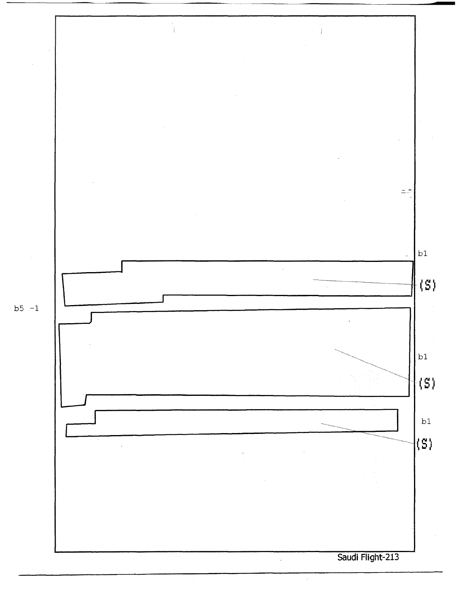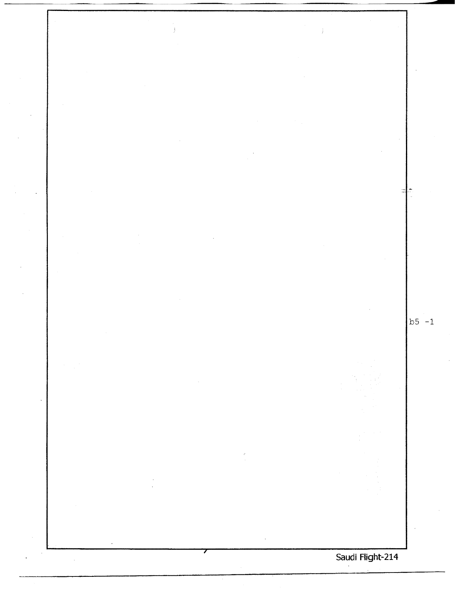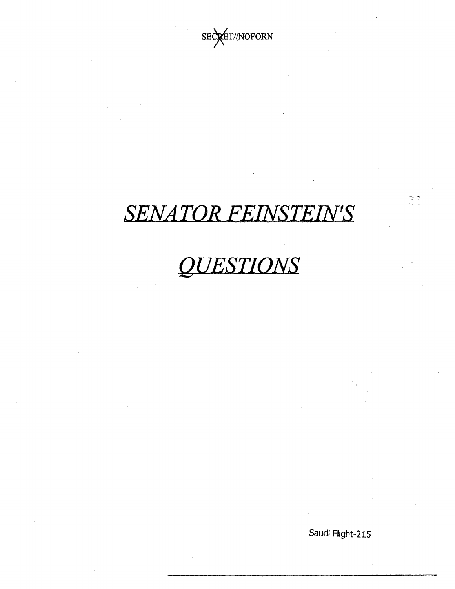

## **SENATOR FEINSTEIN'S**

# **QUESTIONS**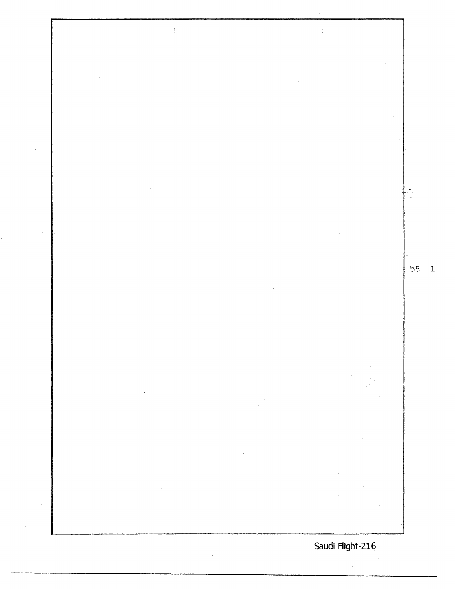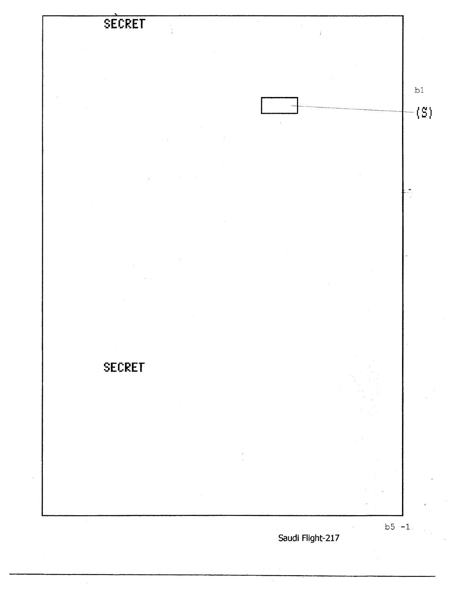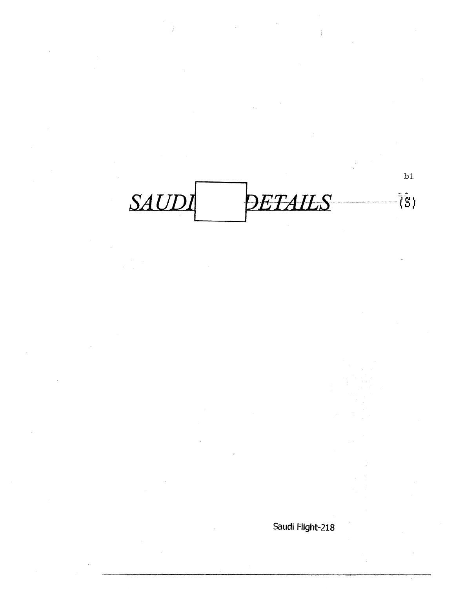$b1$ SAUDI DETAILS  $\tilde{\S}$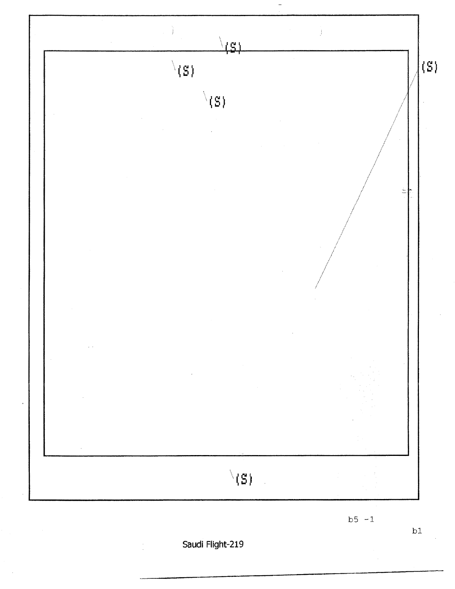

 $b5 - 1$ 

Saudi Flight-219

 $b1$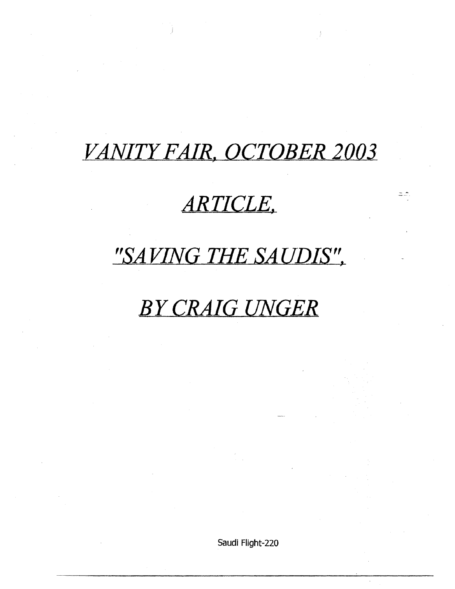### *VANITY FAIR, OCTOBER 2003*

### *ARTICLE,*

- \*

### *"SAVING- THE SAUDIS",*

### *BY CRAIG- UNGER*